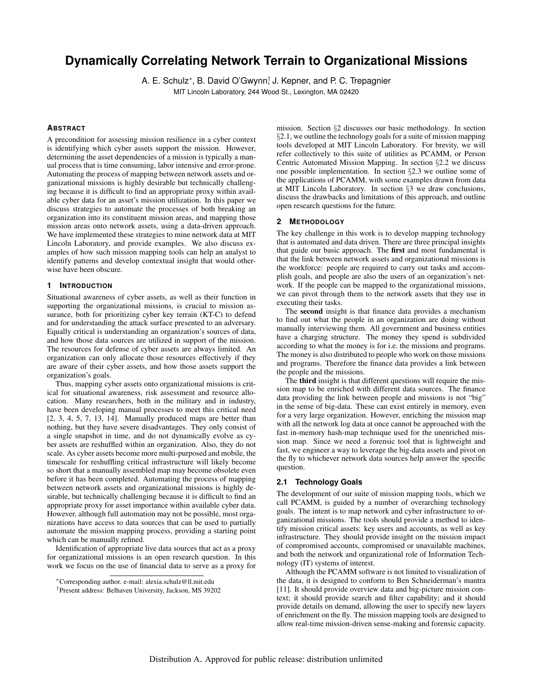# **Dynamically Correlating Network Terrain to Organizational Missions**

A. E. Schulz<sup>∗</sup>, B. David O'Gwynn<sup>†</sup> J. Kepner, and P. C. Trepagnier MIT Lincoln Laboratory, 244 Wood St., Lexington, MA 02420

#### **ABSTRACT**

A precondition for assessing mission resilience in a cyber context is identifying which cyber assets support the mission. However, determining the asset dependencies of a mission is typically a manual process that is time consuming, labor intensive and error-prone. Automating the process of mapping between network assets and organizational missions is highly desirable but technically challenging because it is difficult to find an appropriate proxy within available cyber data for an asset's mission utilization. In this paper we discuss strategies to automate the processes of both breaking an organization into its constituent mission areas, and mapping those mission areas onto network assets, using a data-driven approach. We have implemented these strategies to mine network data at MIT Lincoln Laboratory, and provide examples. We also discuss examples of how such mission mapping tools can help an analyst to identify patterns and develop contextual insight that would otherwise have been obscure.

# **1 INTRODUCTION**

Situational awareness of cyber assets, as well as their function in supporting the organizational missions, is crucial to mission assurance, both for prioritizing cyber key terrain (KT-C) to defend and for understanding the attack surface presented to an adversary. Equally critical is understanding an organization's sources of data, and how those data sources are utilized in support of the mission. The resources for defense of cyber assets are always limited. An organization can only allocate those resources effectively if they are aware of their cyber assets, and how those assets support the organization's goals.

Thus, mapping cyber assets onto organizational missions is critical for situational awareness, risk assessment and resource allocation. Many researchers, both in the military and in industry, have been developing manual processes to meet this critical need [2, 3, 4, 5, 7, 13, 14]. Manually produced maps are better than nothing, but they have severe disadvantages. They only consist of a single snapshot in time, and do not dynamically evolve as cyber assets are reshuffled within an organization. Also, they do not scale. As cyber assets become more multi-purposed and mobile, the timescale for reshuffling critical infrastructure will likely become so short that a manually assembled map may become obsolete even before it has been completed. Automating the process of mapping between network assets and organizational missions is highly desirable, but technically challenging because it is difficult to find an appropriate proxy for asset importance within available cyber data. However, although full automation may not be possible, most organizations have access to data sources that can be used to partially automate the mission mapping process, providing a starting point which can be manually refined.

Identification of appropriate live data sources that act as a proxy for organizational missions is an open research question. In this work we focus on the use of financial data to serve as a proxy for

mission. Section §2 discusses our basic methodology. In section §2.1, we outline the technology goals for a suite of mission mapping tools developed at MIT Lincoln Laboratory. For brevity, we will refer collectively to this suite of utilities as PCAMM, or Person Centric Automated Mission Mapping. In section §2.2 we discuss one possible implementation. In section §2.3 we outline some of the applications of PCAMM, with some examples drawn from data at MIT Lincoln Laboratory. In section §3 we draw conclusions, discuss the drawbacks and limitations of this approach, and outline open research questions for the future.

#### **2 METHODOLOGY**

The key challenge in this work is to develop mapping technology that is automated and data driven. There are three principal insights that guide our basic approach. The first and most fundamental is that the link between network assets and organizational missions is the workforce: people are required to carry out tasks and accomplish goals, and people are also the users of an organization's network. If the people can be mapped to the organizational missions, we can pivot through them to the network assets that they use in executing their tasks.

The second insight is that finance data provides a mechanism to find out what the people in an organization are doing without manually interviewing them. All government and business entities have a charging structure. The money they spend is subdivided according to what the money is for i.e. the missions and programs. The money is also distributed to people who work on those missions and programs. Therefore the finance data provides a link between the people and the missions.

The third insight is that different questions will require the mission map to be enriched with different data sources. The finance data providing the link between people and missions is not "big" in the sense of big-data. These can exist entirely in memory, even for a very large organization. However, enriching the mission map with all the network log data at once cannot be approached with the fast in-memory hash-map technique used for the unenriched mission map. Since we need a forensic tool that is lightweight and fast, we engineer a way to leverage the big-data assets and pivot on the fly to whichever network data sources help answer the specific question.

# **2.1 Technology Goals**

The development of our suite of mission mapping tools, which we call PCAMM, is guided by a number of overarching technology goals. The intent is to map network and cyber infrastructure to organizational missions. The tools should provide a method to identify mission critical assets: key users and accounts, as well as key infrastructure. They should provide insight on the mission impact of compromised accounts, compromised or unavailable machines, and both the network and organizational role of Information Technology (IT) systems of interest.

Although the PCAMM software is not limited to visualization of the data, it is designed to conform to Ben Schneiderman's mantra [11]. It should provide overview data and big-picture mission context; it should provide search and filter capability; and it should provide details on demand, allowing the user to specify new layers of enrichment on the fly. The mission mapping tools are designed to allow real-time mission-driven sense-making and forensic capacity.

<sup>∗</sup>Corresponding author. e-mail: alexia.schulz@ll.mit.edu

<sup>†</sup>Present address: Belhaven University, Jackson, MS 39202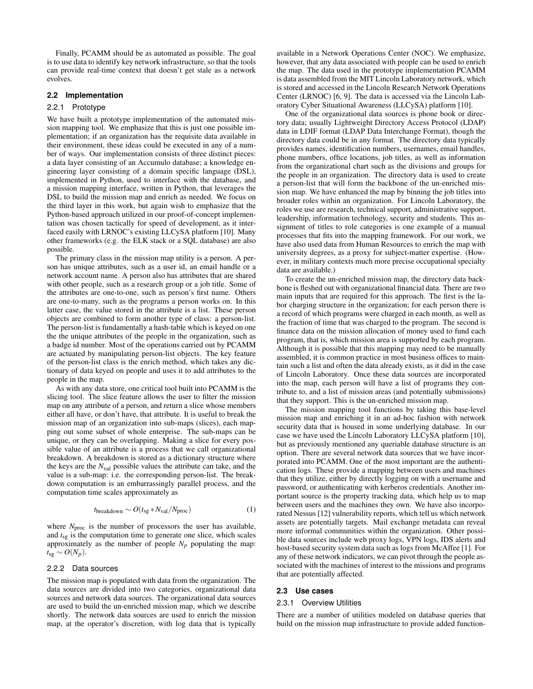Finally, PCAMM should be as automated as possible. The goal is to use data to identify key network infrastructure, so that the tools can provide real-time context that doesn't get stale as a network evolves.

### **2.2 Implementation**

#### 2.2.1 Prototype

We have built a prototype implementation of the automated mission mapping tool. We emphasize that this is just one possible implementation; if an organization has the requisite data available in their environment, these ideas could be executed in any of a number of ways. Our implementation consists of three distinct pieces: a data layer consisting of an Accumulo database; a knowledge engineering layer consisting of a domain specific language (DSL), implemented in Python, used to interface with the database, and a mission mapping interface, written in Python, that leverages the DSL to build the mission map and enrich as needed. We focus on the third layer in this work, but again wish to emphasize that the Python-based approach utilized in our proof-of-concept implementation was chosen tactically for speed of development, as it interfaced easily with LRNOC's existing LLCySA platform [10]. Many other frameworks (e.g. the ELK stack or a SQL database) are also possible.

The primary class in the mission map utility is a person. A person has unique attributes, such as a user id, an email handle or a network account name. A person also has attributes that are shared with other people, such as a research group or a job title. Some of the attributes are one-to-one, such as person's first name. Others are one-to-many, such as the programs a person works on. In this latter case, the value stored in the attribute is a list. These person objects are combined to form another type of class: a person-list. The person-list is fundamentally a hash-table which is keyed on one the the unique attributes of the people in the organization, such as a badge id number. Most of the operations carried out by PCAMM are actuated by manipulating person-list objects. The key feature of the person-list class is the enrich method, which takes any dictionary of data keyed on people and uses it to add attributes to the people in the map.

As with any data store, one critical tool built into PCAMM is the slicing tool. The slice feature allows the user to filter the mission map on any attribute of a person, and return a slice whose members either all have, or don't have, that attribute. It is useful to break the mission map of an organization into sub-maps (slices), each mapping out some subset of whole enterprise. The sub-maps can be unique, or they can be overlapping. Making a slice for every possible value of an attribute is a process that we call organizational breakdown. A breakdown is stored as a dictionary structure where the keys are the *N*val possible values the attribute can take, and the value is a sub-map: i.e. the corresponding person-list. The breakdown computation is an embarrassingly parallel process, and the computation time scales approximately as

$$
t_{\text{breakdown}} \sim O(t_{\text{sg}} * N_{\text{val}} / N_{\text{proc}})
$$
 (1)

where  $N_{\text{proc}}$  is the number of processors the user has available, and  $t_{sg}$  is the computation time to generate one slice, which scales approximately as the number of people  $N_p$  populating the map:  $t_{sg}$  ∼  $O(N_p)$ .

#### 2.2.2 Data sources

The mission map is populated with data from the organization. The data sources are divided into two categories, organizational data sources and network data sources. The organizational data sources are used to build the un-enriched mission map, which we describe shortly. The network data sources are used to enrich the mission map, at the operator's discretion, with log data that is typically available in a Network Operations Center (NOC). We emphasize, however, that any data associated with people can be used to enrich the map. The data used in the prototype implementation PCAMM is data assembled from the MIT Lincoln Laboratory network, which is stored and accessed in the Lincoln Research Network Operations Center (LRNOC) [6, 9]. The data is accessed via the Lincoln Laboratory Cyber Situational Awareness (LLCySA) platform [10].

One of the organizational data sources is phone book or directory data; usually Lightweight Directory Access Protocol (LDAP) data in LDIF format (LDAP Data Interchange Format), though the directory data could be in any format. The directory data typically provides names, identification numbers, usernames, email handles, phone numbers, office locations, job titles, as well as information from the organizational chart such as the divisions and groups for the people in an organization. The directory data is used to create a person-list that will form the backbone of the un-enriched mission map. We have enhanced the map by binning the job titles into broader roles within an organization. For Lincoln Laboratory, the roles we use are research, technical support, administrative support, leadership, information technology, security and students. This assignment of titles to role categories is one example of a manual processes that fits into the mapping framework. For our work, we have also used data from Human Resources to enrich the map with university degrees, as a proxy for subject-matter expertise. (However, in military contexts much more precise occupational specialty data are available.)

To create the un-enriched mission map, the directory data backbone is fleshed out with organizational financial data. There are two main inputs that are required for this approach. The first is the labor charging structure in the organization; for each person there is a record of which programs were charged in each month, as well as the fraction of time that was charged to the program. The second is finance data on the mission allocation of money used to fund each program, that is, which mission area is supported by each program. Although it is possible that this mapping may need to be manually assembled, it is common practice in most business offices to maintain such a list and often the data already exists, as it did in the case of Lincoln Laboratory. Once these data sources are incorporated into the map, each person will have a list of programs they contribute to, and a list of mission areas (and potentially submissions) that they support. This is the un-enriched mission map.

The mission mapping tool functions by taking this base-level mission map and enriching it in an ad-hoc fashion with network security data that is housed in some underlying database. In our case we have used the Lincoln Laboratory LLCySA platform [10], but as previously mentioned any queriable database structure is an option. There are several network data sources that we have incorporated into PCAMM. One of the most important are the authentication logs. These provide a mapping between users and machines that they utilize, either by directly logging on with a username and password, or authenticating with kerberos credentials. Another important source is the property tracking data, which help us to map between users and the machines they own. We have also incorporated Nessus [12] vulnerability reports, which tell us which network assets are potentially targets. Mail exchange metadata can reveal more informal communities within the organization. Other possible data sources include web proxy logs, VPN logs, IDS alerts and host-based security system data such as logs from McAffee [1]. For any of these network indicators, we can pivot through the people associated with the machines of interest to the missions and programs that are potentially affected.

#### **2.3 Use cases**

#### 2.3.1 Overview Utilities

There are a number of utilities modeled on database queries that build on the mission map infrastructure to provide added function-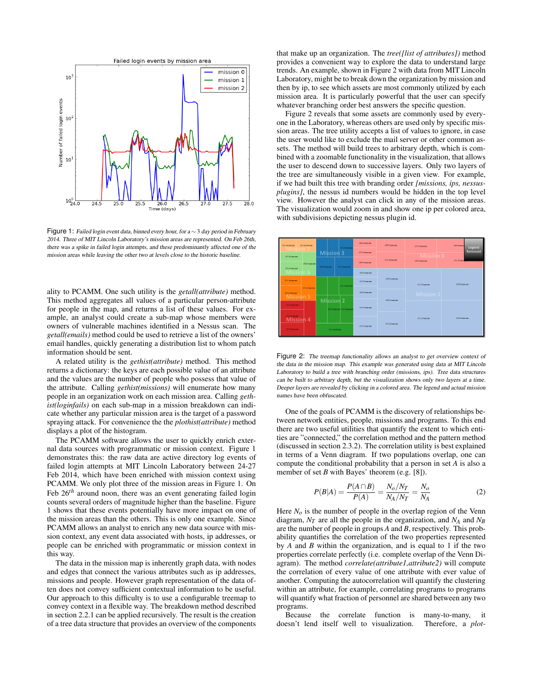

Figure 1: Failed login event data, binned every hour, for a ∼ 3 day period in February 2014. Three of MIT Lincoln Laboratory's mission areas are represented. On Feb 26th, there was a spike in failed login attempts, and these predominantly affected one of the mission areas while leaving the other two at levels close to the historic baseline.

ality to PCAMM. One such utility is the *getall(attribute)* method. This method aggregates all values of a particular person-attribute for people in the map, and returns a list of these values. For example, an analyst could create a sub-map whose members were owners of vulnerable machines identified in a Nessus scan. The *getall(emails)* method could be used to retrieve a list of the owners' email handles, quickly generating a distribution list to whom patch information should be sent.

A related utility is the *gethist(attribute)* method. This method returns a dictionary: the keys are each possible value of an attribute and the values are the number of people who possess that value of the attribute. Calling *gethist(missions)* will enumerate how many people in an organization work on each mission area. Calling *gethist(loginfails)* on each sub-map in a mission breakdown can indicate whether any particular mission area is the target of a password spraying attack. For convenience the the *plothist(attribute)* method displays a plot of the histogram.

The PCAMM software allows the user to quickly enrich external data sources with programmatic or mission context. Figure 1 demonstrates this: the raw data are active directory log events of failed login attempts at MIT Lincoln Laboratory between 24-27 Feb 2014, which have been enriched with mission context using PCAMM. We only plot three of the mission areas in Figure 1. On Feb 26*th* around noon, there was an event generating failed login counts several orders of magnitude higher than the baseline. Figure 1 shows that these events potentially have more impact on one of the mission areas than the others. This is only one example. Since PCAMM allows an analyst to enrich any new data source with mission context, any event data associated with hosts, ip addresses, or people can be enriched with programmatic or mission context in this way.

The data in the mission map is inherently graph data, with nodes and edges that connect the various attributes such as ip addresses, missions and people. However graph representation of the data often does not convey sufficient contextual information to be useful. Our approach to this difficulty is to use a configurable treemap to convey context in a flexible way. The breakdown method described in section 2.2.1 can be applied recursively. The result is the creation of a tree data structure that provides an overview of the components that make up an organization. The *tree([list of attributes])* method provides a convenient way to explore the data to understand large trends. An example, shown in Figure 2 with data from MIT Lincoln Laboratory, might be to break down the organization by mission and then by ip, to see which assets are most commonly utilized by each mission area. It is particularly powerful that the user can specify whatever branching order best answers the specific question.

Figure 2 reveals that some assets are commonly used by everyone in the Laboratory, whereas others are used only by specific mission areas. The tree utility accepts a list of values to ignore, in case the user would like to exclude the mail server or other common assets. The method will build trees to arbitrary depth, which is combined with a zoomable functionality in the visualization, that allows the user to descend down to successive layers. Only two layers of the tree are simultaneously visible in a given view. For example, if we had built this tree with branding order *[missions, ips, nessusplugins]*, the nessus id numbers would be hidden in the top level view. However the analyst can click in any of the mission areas. The visualization would zoom in and show one ip per colored area, with subdivisions depicting nessus plugin id.



Figure 2: The treemap functionality allows an analyst to get overview context of the data in the mission map. This example was generated using data at MIT Lincoln Laboratory to build a tree with branching order (missions, ips). Tree data structures can be built to arbitrary depth, but the visualization shows only two layers at a time. Deeper layers are revealed by clicking in a colored area. The legend and actual mission names have been obfuscated.

One of the goals of PCAMM is the discovery of relationships between network entities, people, missions and programs. To this end there are two useful utilities that quantify the extent to which entities are "connected," the correlation method and the pattern method (discussed in section 2.3.2). The correlation utility is best explained in terms of a Venn diagram. If two populations overlap, one can compute the conditional probability that a person in set *A* is also a member of set *B* with Bayes' theorem (e.g. [8]).

$$
P(B|A) = \frac{P(A \cap B)}{P(A)} = \frac{N_o / N_T}{N_A / N_T} = \frac{N_o}{N_A}
$$
 (2)

Here  $N<sub>o</sub>$  is the number of people in the overlap region of the Venn diagram, *N<sup>T</sup>* are all the people in the organization, and *N<sup>A</sup>* and *N<sup>B</sup>* are the number of people in groups *A* and *B*, respectively. This probability quantifies the correlation of the two properties represented by *A* and *B* within the organization, and is equal to 1 if the two properties correlate perfectly (i.e. complete overlap of the Venn Diagram). The method *correlate(attribute1,attribute2)* will compute the correlation of every value of one attribute with ever value of another. Computing the autocorrelation will quantify the clustering within an attribute, for example, correlating programs to programs will quantify what fraction of personnel are shared between any two programs.

Because the correlate function is many-to-many, it doesn't lend itself well to visualization. Therefore, a *plot-*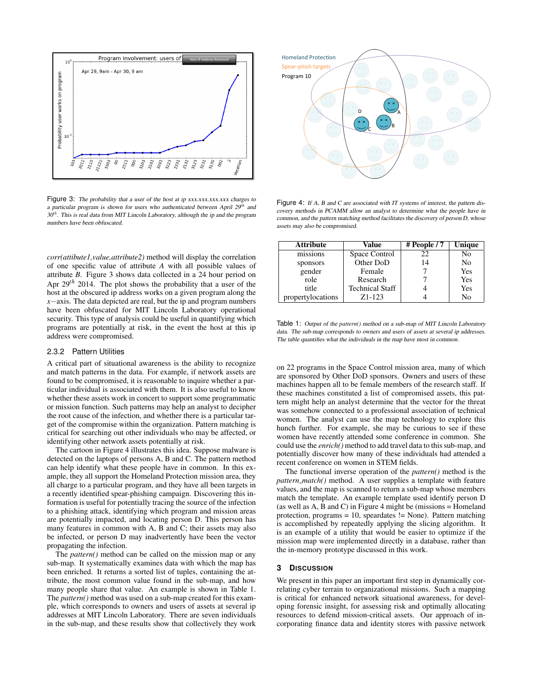

Figure 3: The probability that a user of the host at ip xxx.xxx.xxx.xxx charges to a particular program is shown for users who authenticated between April 29*th* and 30*th*. This is real data from MIT Lincoln Laboratory, although the ip and the program numbers have been obfuscated.

*corr(attibute1,value,attribute2)* method will display the correlation of one specific value of attribute *A* with all possible values of attribute *B*. Figure 3 shows data collected in a 24 hour period on Apr 29*th* 2014. The plot shows the probability that a user of the host at the obscured ip address works on a given program along the *x*−axis. The data depicted are real, but the ip and program numbers have been obfuscated for MIT Lincoln Laboratory operational security. This type of analysis could be useful in quantifying which programs are potentially at risk, in the event the host at this ip address were compromised.

#### 2.3.2 Pattern Utilities

A critical part of situational awareness is the ability to recognize and match patterns in the data. For example, if network assets are found to be compromised, it is reasonable to inquire whether a particular individual is associated with them. It is also useful to know whether these assets work in concert to support some programmatic or mission function. Such patterns may help an analyst to decipher the root cause of the infection, and whether there is a particular target of the compromise within the organization. Pattern matching is critical for searching out other individuals who may be affected, or identifying other network assets potentially at risk.

The cartoon in Figure 4 illustrates this idea. Suppose malware is detected on the laptops of persons A, B and C. The pattern method can help identify what these people have in common. In this example, they all support the Homeland Protection mission area, they all charge to a particular program, and they have all been targets in a recently identified spear-phishing campaign. Discovering this information is useful for potentially tracing the source of the infection to a phishing attack, identifying which program and mission areas are potentially impacted, and locating person D. This person has many features in common with A, B and C; their assets may also be infected, or person D may inadvertently have been the vector propagating the infection.

The *pattern()* method can be called on the mission map or any sub-map. It systematically examines data with which the map has been enriched. It returns a sorted list of tuples, containing the attribute, the most common value found in the sub-map, and how many people share that value. An example is shown in Table 1. The *pattern()* method was used on a sub-map created for this example, which corresponds to owners and users of assets at several ip addresses at MIT Lincoln Laboratory. There are seven individuals in the sub-map, and these results show that collectively they work



Figure 4: If A, B and C are associated with IT systems of interest, the pattern discovery methods in PCAMM allow an analyst to determine what the people have in common, and the pattern matching method facilitates the discovery of person D, whose assets may also be compromised.

| Attribute         | Value                  | # People / 7 | Unique |
|-------------------|------------------------|--------------|--------|
| missions          | Space Control          | 22           | No     |
| sponsors          | Other DoD              | 14           | No     |
| gender            | Female                 |              | Yes    |
| role              | Research               |              | Yes    |
| title             | <b>Technical Staff</b> |              | Yes    |
| propertylocations | Z <sub>1</sub> -123    |              | Nο     |

Table 1: Output of the *pattern()* method on a sub-map of MIT Lincoln Laboratory data. The sub-map corresponds to owners and users of assets at several ip addresses. The table quantifies what the individuals in the map have most in common.

on 22 programs in the Space Control mission area, many of which are sponsored by Other DoD sponsors. Owners and users of these machines happen all to be female members of the research staff. If these machines constituted a list of compromised assets, this pattern might help an analyst determine that the vector for the threat was somehow connected to a professional association of technical women. The analyst can use the map technology to explore this hunch further. For example, she may be curious to see if these women have recently attended some conference in common. She could use the *enrich()* method to add travel data to this sub-map, and potentially discover how many of these individuals had attended a recent conference on women in STEM fields.

The functional inverse operation of the *pattern()* method is the *pattern match()* method. A user supplies a template with feature values, and the map is scanned to return a sub-map whose members match the template. An example template used identify person D (as well as A, B and C) in Figure 4 might be (missions = Homeland protection, programs = 10, speardates != None). Pattern matching is accomplished by repeatedly applying the slicing algorithm. It is an example of a utility that would be easier to optimize if the mission map were implemented directly in a database, rather than the in-memory prototype discussed in this work.

# **3 DISCUSSION**

We present in this paper an important first step in dynamically correlating cyber terrain to organizational missions. Such a mapping is critical for enhanced network situational awareness, for developing forensic insight, for assessing risk and optimally allocating resources to defend mission-critical assets. Our approach of incorporating finance data and identity stores with passive network